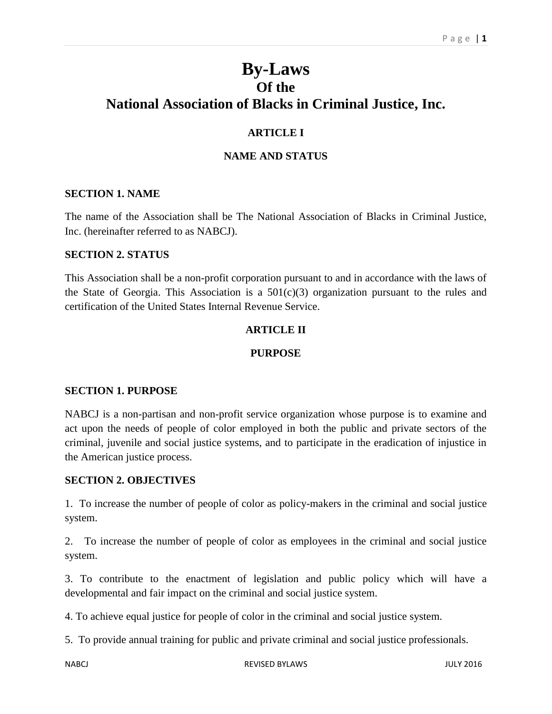# **By-Laws Of the National Association of Blacks in Criminal Justice, Inc.**

# **ARTICLE I**

# **NAME AND STATUS**

#### **SECTION 1. NAME**

The name of the Association shall be The National Association of Blacks in Criminal Justice, Inc. (hereinafter referred to as NABCJ).

#### **SECTION 2. STATUS**

This Association shall be a non-profit corporation pursuant to and in accordance with the laws of the State of Georgia. This Association is a  $501(c)(3)$  organization pursuant to the rules and certification of the United States Internal Revenue Service.

# **ARTICLE II**

#### **PURPOSE**

#### **SECTION 1. PURPOSE**

NABCJ is a non-partisan and non-profit service organization whose purpose is to examine and act upon the needs of people of color employed in both the public and private sectors of the criminal, juvenile and social justice systems, and to participate in the eradication of injustice in the American justice process.

#### **SECTION 2. OBJECTIVES**

1. To increase the number of people of color as policy-makers in the criminal and social justice system.

2. To increase the number of people of color as employees in the criminal and social justice system.

3. To contribute to the enactment of legislation and public policy which will have a developmental and fair impact on the criminal and social justice system.

4. To achieve equal justice for people of color in the criminal and social justice system.

5. To provide annual training for public and private criminal and social justice professionals.

NABCJ REVISED BYLAWS JULY 2016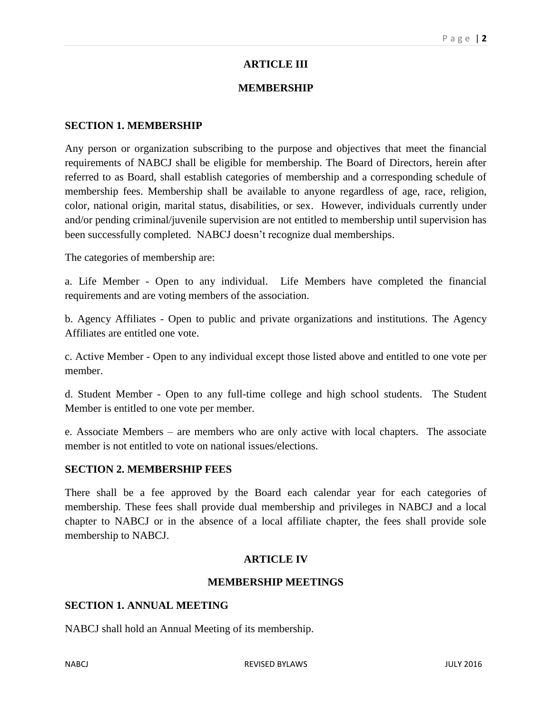# **ARTICLE III**

# **MEMBERSHIP**

#### **SECTION 1. MEMBERSHIP**

Any person or organization subscribing to the purpose and objectives that meet the financial requirements of NABCJ shall be eligible for membership. The Board of Directors, herein after referred to as Board, shall establish categories of membership and a corresponding schedule of membership fees. Membership shall be available to anyone regardless of age, race, religion, color, national origin, marital status, disabilities, or sex. However, individuals currently under and/or pending criminal/juvenile supervision are not entitled to membership until supervision has been successfully completed. NABCJ doesn't recognize dual memberships.

The categories of membership are:

a. Life Member - Open to any individual. Life Members have completed the financial requirements and are voting members of the association.

b. Agency Affiliates - Open to public and private organizations and institutions. The Agency Affiliates are entitled one vote.

c. Active Member - Open to any individual except those listed above and entitled to one vote per member.

d. Student Member - Open to any full-time college and high school students. The Student Member is entitled to one vote per member.

e. Associate Members – are members who are only active with local chapters. The associate member is not entitled to vote on national issues/elections.

#### **SECTION 2. MEMBERSHIP FEES**

There shall be a fee approved by the Board each calendar year for each categories of membership. These fees shall provide dual membership and privileges in NABCJ and a local chapter to NABCJ or in the absence of a local affiliate chapter, the fees shall provide sole membership to NABCJ.

#### **ARTICLE IV**

#### **MEMBERSHIP MEETINGS**

#### **SECTION 1. ANNUAL MEETING**

NABCJ shall hold an Annual Meeting of its membership.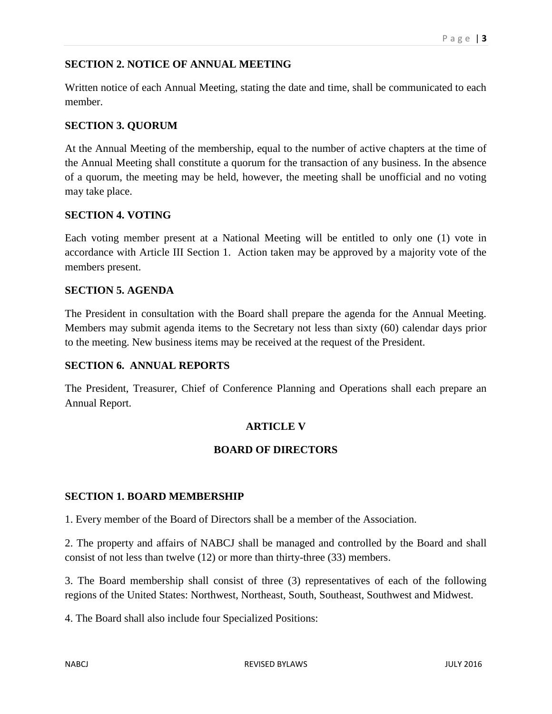# **SECTION 2. NOTICE OF ANNUAL MEETING**

Written notice of each Annual Meeting, stating the date and time, shall be communicated to each member.

# **SECTION 3. QUORUM**

At the Annual Meeting of the membership, equal to the number of active chapters at the time of the Annual Meeting shall constitute a quorum for the transaction of any business. In the absence of a quorum, the meeting may be held, however, the meeting shall be unofficial and no voting may take place.

#### **SECTION 4. VOTING**

Each voting member present at a National Meeting will be entitled to only one (1) vote in accordance with Article III Section 1. Action taken may be approved by a majority vote of the members present.

# **SECTION 5. AGENDA**

The President in consultation with the Board shall prepare the agenda for the Annual Meeting. Members may submit agenda items to the Secretary not less than sixty (60) calendar days prior to the meeting. New business items may be received at the request of the President.

#### **SECTION 6. ANNUAL REPORTS**

The President, Treasurer, Chief of Conference Planning and Operations shall each prepare an Annual Report.

# **ARTICLE V**

# **BOARD OF DIRECTORS**

#### **SECTION 1. BOARD MEMBERSHIP**

1. Every member of the Board of Directors shall be a member of the Association.

2. The property and affairs of NABCJ shall be managed and controlled by the Board and shall consist of not less than twelve (12) or more than thirty-three (33) members.

3. The Board membership shall consist of three (3) representatives of each of the following regions of the United States: Northwest, Northeast, South, Southeast, Southwest and Midwest.

4. The Board shall also include four Specialized Positions: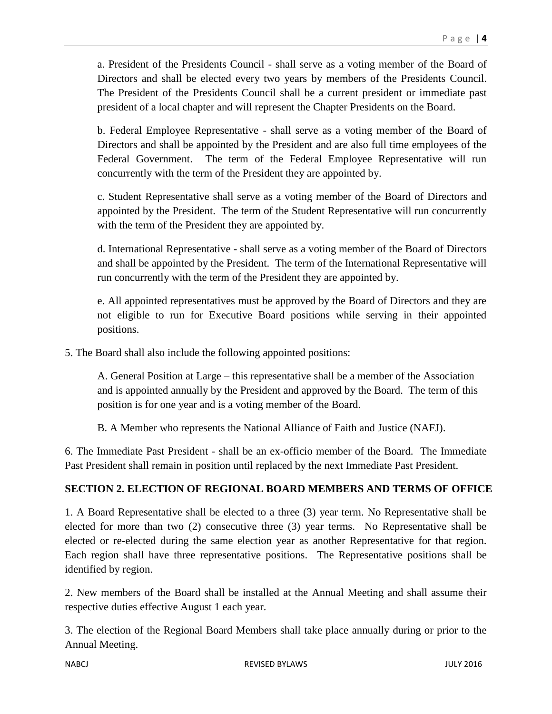a. President of the Presidents Council - shall serve as a voting member of the Board of Directors and shall be elected every two years by members of the Presidents Council. The President of the Presidents Council shall be a current president or immediate past president of a local chapter and will represent the Chapter Presidents on the Board.

b. Federal Employee Representative - shall serve as a voting member of the Board of Directors and shall be appointed by the President and are also full time employees of the Federal Government. The term of the Federal Employee Representative will run concurrently with the term of the President they are appointed by.

c. Student Representative shall serve as a voting member of the Board of Directors and appointed by the President. The term of the Student Representative will run concurrently with the term of the President they are appointed by.

d. International Representative - shall serve as a voting member of the Board of Directors and shall be appointed by the President. The term of the International Representative will run concurrently with the term of the President they are appointed by.

e. All appointed representatives must be approved by the Board of Directors and they are not eligible to run for Executive Board positions while serving in their appointed positions.

5. The Board shall also include the following appointed positions:

A. General Position at Large – this representative shall be a member of the Association and is appointed annually by the President and approved by the Board. The term of this position is for one year and is a voting member of the Board.

B. A Member who represents the National Alliance of Faith and Justice (NAFJ).

6. The Immediate Past President - shall be an ex-officio member of the Board. The Immediate Past President shall remain in position until replaced by the next Immediate Past President.

# **SECTION 2. ELECTION OF REGIONAL BOARD MEMBERS AND TERMS OF OFFICE**

1. A Board Representative shall be elected to a three (3) year term. No Representative shall be elected for more than two (2) consecutive three (3) year terms. No Representative shall be elected or re-elected during the same election year as another Representative for that region. Each region shall have three representative positions. The Representative positions shall be identified by region.

2. New members of the Board shall be installed at the Annual Meeting and shall assume their respective duties effective August 1 each year.

3. The election of the Regional Board Members shall take place annually during or prior to the Annual Meeting.

NABCJ REVISED BYLAWS JULY 2016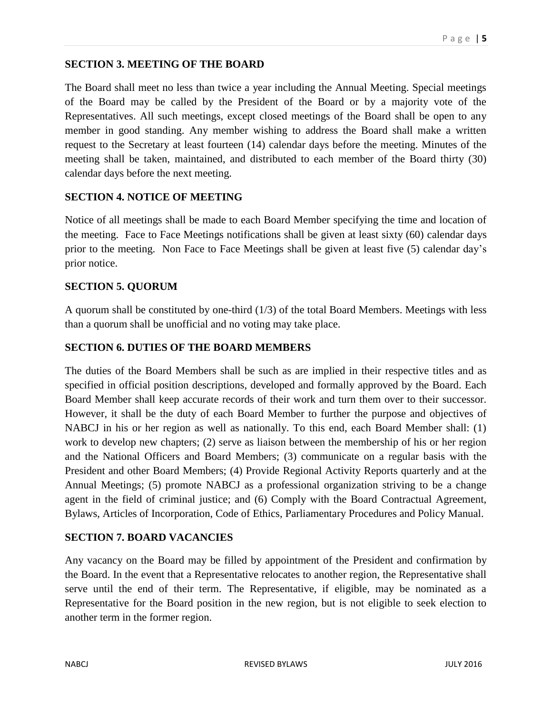# **SECTION 3. MEETING OF THE BOARD**

The Board shall meet no less than twice a year including the Annual Meeting. Special meetings of the Board may be called by the President of the Board or by a majority vote of the Representatives. All such meetings, except closed meetings of the Board shall be open to any member in good standing. Any member wishing to address the Board shall make a written request to the Secretary at least fourteen (14) calendar days before the meeting. Minutes of the meeting shall be taken, maintained, and distributed to each member of the Board thirty (30) calendar days before the next meeting.

#### **SECTION 4. NOTICE OF MEETING**

Notice of all meetings shall be made to each Board Member specifying the time and location of the meeting. Face to Face Meetings notifications shall be given at least sixty (60) calendar days prior to the meeting. Non Face to Face Meetings shall be given at least five (5) calendar day's prior notice.

# **SECTION 5. QUORUM**

A quorum shall be constituted by one-third (1/3) of the total Board Members. Meetings with less than a quorum shall be unofficial and no voting may take place.

# **SECTION 6. DUTIES OF THE BOARD MEMBERS**

The duties of the Board Members shall be such as are implied in their respective titles and as specified in official position descriptions, developed and formally approved by the Board. Each Board Member shall keep accurate records of their work and turn them over to their successor. However, it shall be the duty of each Board Member to further the purpose and objectives of NABCJ in his or her region as well as nationally. To this end, each Board Member shall: (1) work to develop new chapters; (2) serve as liaison between the membership of his or her region and the National Officers and Board Members; (3) communicate on a regular basis with the President and other Board Members; (4) Provide Regional Activity Reports quarterly and at the Annual Meetings; (5) promote NABCJ as a professional organization striving to be a change agent in the field of criminal justice; and (6) Comply with the Board Contractual Agreement, Bylaws, Articles of Incorporation, Code of Ethics, Parliamentary Procedures and Policy Manual.

# **SECTION 7. BOARD VACANCIES**

Any vacancy on the Board may be filled by appointment of the President and confirmation by the Board. In the event that a Representative relocates to another region, the Representative shall serve until the end of their term. The Representative, if eligible, may be nominated as a Representative for the Board position in the new region, but is not eligible to seek election to another term in the former region.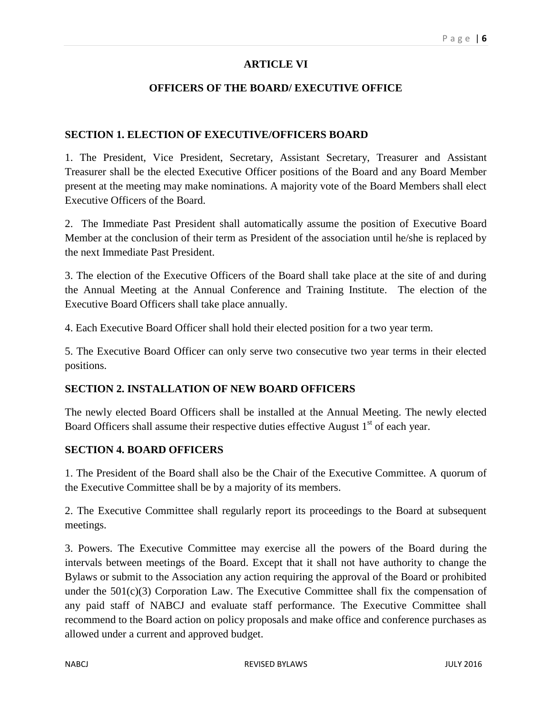# **ARTICLE VI**

# **OFFICERS OF THE BOARD/ EXECUTIVE OFFICE**

#### **SECTION 1. ELECTION OF EXECUTIVE/OFFICERS BOARD**

1. The President, Vice President, Secretary, Assistant Secretary, Treasurer and Assistant Treasurer shall be the elected Executive Officer positions of the Board and any Board Member present at the meeting may make nominations. A majority vote of the Board Members shall elect Executive Officers of the Board.

2. The Immediate Past President shall automatically assume the position of Executive Board Member at the conclusion of their term as President of the association until he/she is replaced by the next Immediate Past President.

3. The election of the Executive Officers of the Board shall take place at the site of and during the Annual Meeting at the Annual Conference and Training Institute. The election of the Executive Board Officers shall take place annually.

4. Each Executive Board Officer shall hold their elected position for a two year term.

5. The Executive Board Officer can only serve two consecutive two year terms in their elected positions.

#### **SECTION 2. INSTALLATION OF NEW BOARD OFFICERS**

The newly elected Board Officers shall be installed at the Annual Meeting. The newly elected Board Officers shall assume their respective duties effective August 1<sup>st</sup> of each year.

#### **SECTION 4. BOARD OFFICERS**

1. The President of the Board shall also be the Chair of the Executive Committee. A quorum of the Executive Committee shall be by a majority of its members.

2. The Executive Committee shall regularly report its proceedings to the Board at subsequent meetings.

3. Powers. The Executive Committee may exercise all the powers of the Board during the intervals between meetings of the Board. Except that it shall not have authority to change the Bylaws or submit to the Association any action requiring the approval of the Board or prohibited under the  $501(c)(3)$  Corporation Law. The Executive Committee shall fix the compensation of any paid staff of NABCJ and evaluate staff performance. The Executive Committee shall recommend to the Board action on policy proposals and make office and conference purchases as allowed under a current and approved budget.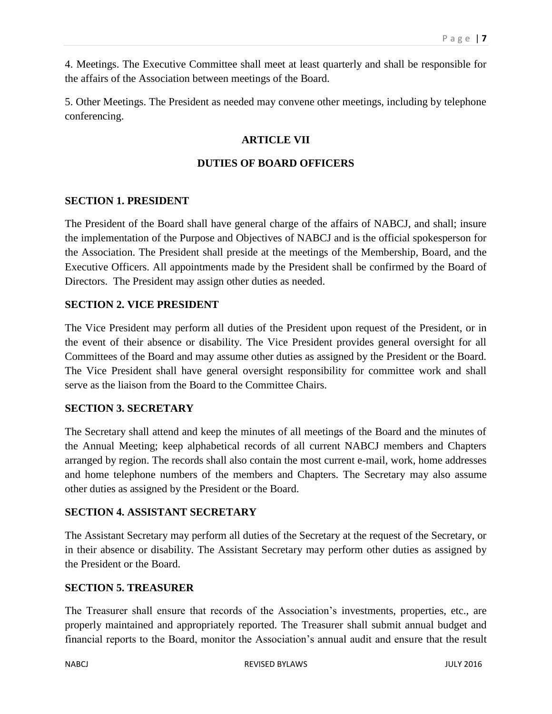4. Meetings. The Executive Committee shall meet at least quarterly and shall be responsible for the affairs of the Association between meetings of the Board.

5. Other Meetings. The President as needed may convene other meetings, including by telephone conferencing.

# **ARTICLE VII**

# **DUTIES OF BOARD OFFICERS**

# **SECTION 1. PRESIDENT**

The President of the Board shall have general charge of the affairs of NABCJ, and shall; insure the implementation of the Purpose and Objectives of NABCJ and is the official spokesperson for the Association. The President shall preside at the meetings of the Membership, Board, and the Executive Officers. All appointments made by the President shall be confirmed by the Board of Directors. The President may assign other duties as needed.

# **SECTION 2. VICE PRESIDENT**

The Vice President may perform all duties of the President upon request of the President, or in the event of their absence or disability. The Vice President provides general oversight for all Committees of the Board and may assume other duties as assigned by the President or the Board. The Vice President shall have general oversight responsibility for committee work and shall serve as the liaison from the Board to the Committee Chairs.

#### **SECTION 3. SECRETARY**

The Secretary shall attend and keep the minutes of all meetings of the Board and the minutes of the Annual Meeting; keep alphabetical records of all current NABCJ members and Chapters arranged by region. The records shall also contain the most current e-mail, work, home addresses and home telephone numbers of the members and Chapters. The Secretary may also assume other duties as assigned by the President or the Board.

#### **SECTION 4. ASSISTANT SECRETARY**

The Assistant Secretary may perform all duties of the Secretary at the request of the Secretary, or in their absence or disability. The Assistant Secretary may perform other duties as assigned by the President or the Board.

# **SECTION 5. TREASURER**

The Treasurer shall ensure that records of the Association's investments, properties, etc., are properly maintained and appropriately reported. The Treasurer shall submit annual budget and financial reports to the Board, monitor the Association's annual audit and ensure that the result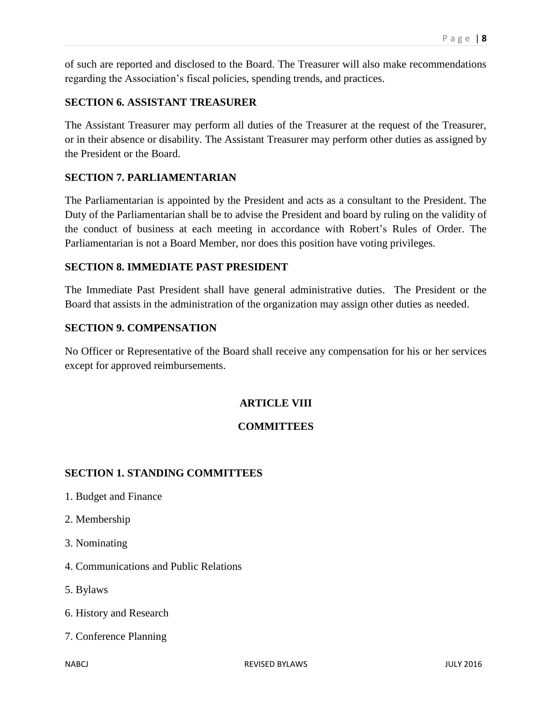of such are reported and disclosed to the Board. The Treasurer will also make recommendations regarding the Association's fiscal policies, spending trends, and practices.

# **SECTION 6. ASSISTANT TREASURER**

The Assistant Treasurer may perform all duties of the Treasurer at the request of the Treasurer, or in their absence or disability. The Assistant Treasurer may perform other duties as assigned by the President or the Board.

### **SECTION 7. PARLIAMENTARIAN**

The Parliamentarian is appointed by the President and acts as a consultant to the President. The Duty of the Parliamentarian shall be to advise the President and board by ruling on the validity of the conduct of business at each meeting in accordance with Robert's Rules of Order. The Parliamentarian is not a Board Member, nor does this position have voting privileges.

#### **SECTION 8. IMMEDIATE PAST PRESIDENT**

The Immediate Past President shall have general administrative duties. The President or the Board that assists in the administration of the organization may assign other duties as needed.

#### **SECTION 9. COMPENSATION**

No Officer or Representative of the Board shall receive any compensation for his or her services except for approved reimbursements.

# **ARTICLE VIII**

# **COMMITTEES**

# **SECTION 1. STANDING COMMITTEES**

- 1. Budget and Finance
- 2. Membership
- 3. Nominating
- 4. Communications and Public Relations
- 5. Bylaws
- 6. History and Research
- 7. Conference Planning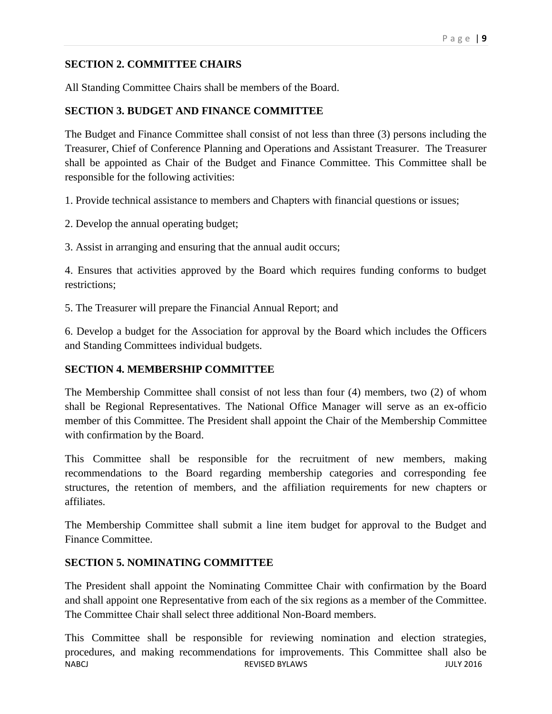# **SECTION 2. COMMITTEE CHAIRS**

All Standing Committee Chairs shall be members of the Board.

# **SECTION 3. BUDGET AND FINANCE COMMITTEE**

The Budget and Finance Committee shall consist of not less than three (3) persons including the Treasurer, Chief of Conference Planning and Operations and Assistant Treasurer. The Treasurer shall be appointed as Chair of the Budget and Finance Committee. This Committee shall be responsible for the following activities:

1. Provide technical assistance to members and Chapters with financial questions or issues;

2. Develop the annual operating budget;

3. Assist in arranging and ensuring that the annual audit occurs;

4. Ensures that activities approved by the Board which requires funding conforms to budget restrictions;

5. The Treasurer will prepare the Financial Annual Report; and

6. Develop a budget for the Association for approval by the Board which includes the Officers and Standing Committees individual budgets.

# **SECTION 4. MEMBERSHIP COMMITTEE**

The Membership Committee shall consist of not less than four (4) members, two (2) of whom shall be Regional Representatives. The National Office Manager will serve as an ex-officio member of this Committee. The President shall appoint the Chair of the Membership Committee with confirmation by the Board.

This Committee shall be responsible for the recruitment of new members, making recommendations to the Board regarding membership categories and corresponding fee structures, the retention of members, and the affiliation requirements for new chapters or affiliates.

The Membership Committee shall submit a line item budget for approval to the Budget and Finance Committee.

# **SECTION 5. NOMINATING COMMITTEE**

The President shall appoint the Nominating Committee Chair with confirmation by the Board and shall appoint one Representative from each of the six regions as a member of the Committee. The Committee Chair shall select three additional Non-Board members.

NABCJ REVISED BYLAWS JULY 2016 This Committee shall be responsible for reviewing nomination and election strategies, procedures, and making recommendations for improvements. This Committee shall also be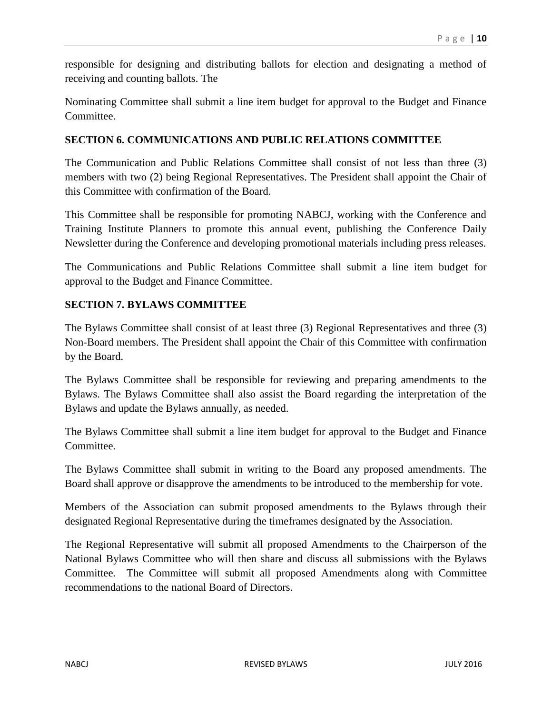responsible for designing and distributing ballots for election and designating a method of receiving and counting ballots. The

Nominating Committee shall submit a line item budget for approval to the Budget and Finance Committee.

# **SECTION 6. COMMUNICATIONS AND PUBLIC RELATIONS COMMITTEE**

The Communication and Public Relations Committee shall consist of not less than three (3) members with two (2) being Regional Representatives. The President shall appoint the Chair of this Committee with confirmation of the Board.

This Committee shall be responsible for promoting NABCJ, working with the Conference and Training Institute Planners to promote this annual event, publishing the Conference Daily Newsletter during the Conference and developing promotional materials including press releases.

The Communications and Public Relations Committee shall submit a line item budget for approval to the Budget and Finance Committee.

# **SECTION 7. BYLAWS COMMITTEE**

The Bylaws Committee shall consist of at least three (3) Regional Representatives and three (3) Non-Board members. The President shall appoint the Chair of this Committee with confirmation by the Board.

The Bylaws Committee shall be responsible for reviewing and preparing amendments to the Bylaws. The Bylaws Committee shall also assist the Board regarding the interpretation of the Bylaws and update the Bylaws annually, as needed.

The Bylaws Committee shall submit a line item budget for approval to the Budget and Finance Committee.

The Bylaws Committee shall submit in writing to the Board any proposed amendments. The Board shall approve or disapprove the amendments to be introduced to the membership for vote.

Members of the Association can submit proposed amendments to the Bylaws through their designated Regional Representative during the timeframes designated by the Association.

The Regional Representative will submit all proposed Amendments to the Chairperson of the National Bylaws Committee who will then share and discuss all submissions with the Bylaws Committee. The Committee will submit all proposed Amendments along with Committee recommendations to the national Board of Directors.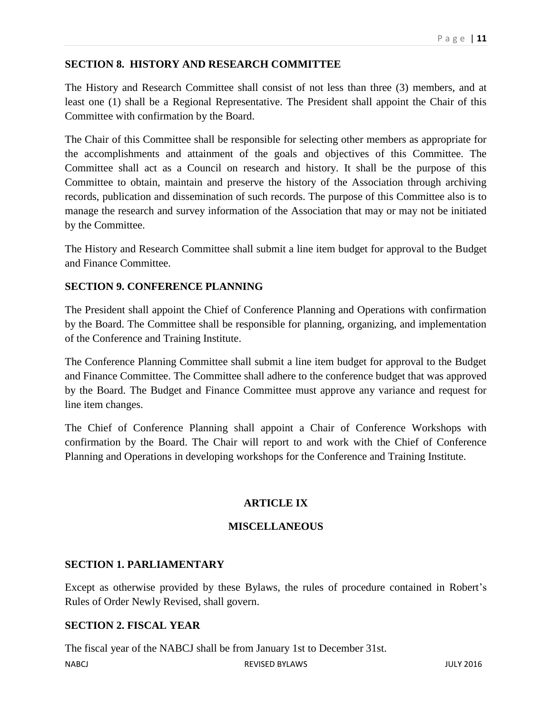# **SECTION 8. HISTORY AND RESEARCH COMMITTEE**

The History and Research Committee shall consist of not less than three (3) members, and at least one (1) shall be a Regional Representative. The President shall appoint the Chair of this Committee with confirmation by the Board.

The Chair of this Committee shall be responsible for selecting other members as appropriate for the accomplishments and attainment of the goals and objectives of this Committee. The Committee shall act as a Council on research and history. It shall be the purpose of this Committee to obtain, maintain and preserve the history of the Association through archiving records, publication and dissemination of such records. The purpose of this Committee also is to manage the research and survey information of the Association that may or may not be initiated by the Committee.

The History and Research Committee shall submit a line item budget for approval to the Budget and Finance Committee.

# **SECTION 9. CONFERENCE PLANNING**

The President shall appoint the Chief of Conference Planning and Operations with confirmation by the Board. The Committee shall be responsible for planning, organizing, and implementation of the Conference and Training Institute.

The Conference Planning Committee shall submit a line item budget for approval to the Budget and Finance Committee. The Committee shall adhere to the conference budget that was approved by the Board. The Budget and Finance Committee must approve any variance and request for line item changes.

The Chief of Conference Planning shall appoint a Chair of Conference Workshops with confirmation by the Board. The Chair will report to and work with the Chief of Conference Planning and Operations in developing workshops for the Conference and Training Institute.

# **ARTICLE IX**

#### **MISCELLANEOUS**

#### **SECTION 1. PARLIAMENTARY**

Except as otherwise provided by these Bylaws, the rules of procedure contained in Robert's Rules of Order Newly Revised, shall govern.

#### **SECTION 2. FISCAL YEAR**

The fiscal year of the NABCJ shall be from January 1st to December 31st.

NABCJ REVISED BYLAWS JULY 2016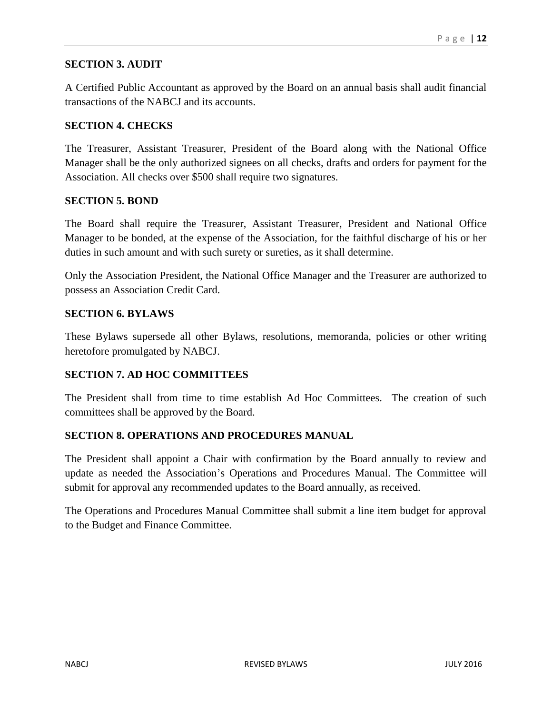# **SECTION 3. AUDIT**

A Certified Public Accountant as approved by the Board on an annual basis shall audit financial transactions of the NABCJ and its accounts.

# **SECTION 4. CHECKS**

The Treasurer, Assistant Treasurer, President of the Board along with the National Office Manager shall be the only authorized signees on all checks, drafts and orders for payment for the Association. All checks over \$500 shall require two signatures.

# **SECTION 5. BOND**

The Board shall require the Treasurer, Assistant Treasurer, President and National Office Manager to be bonded, at the expense of the Association, for the faithful discharge of his or her duties in such amount and with such surety or sureties, as it shall determine.

Only the Association President, the National Office Manager and the Treasurer are authorized to possess an Association Credit Card.

# **SECTION 6. BYLAWS**

These Bylaws supersede all other Bylaws, resolutions, memoranda, policies or other writing heretofore promulgated by NABCJ.

# **SECTION 7. AD HOC COMMITTEES**

The President shall from time to time establish Ad Hoc Committees. The creation of such committees shall be approved by the Board.

# **SECTION 8. OPERATIONS AND PROCEDURES MANUAL**

The President shall appoint a Chair with confirmation by the Board annually to review and update as needed the Association's Operations and Procedures Manual. The Committee will submit for approval any recommended updates to the Board annually, as received.

The Operations and Procedures Manual Committee shall submit a line item budget for approval to the Budget and Finance Committee.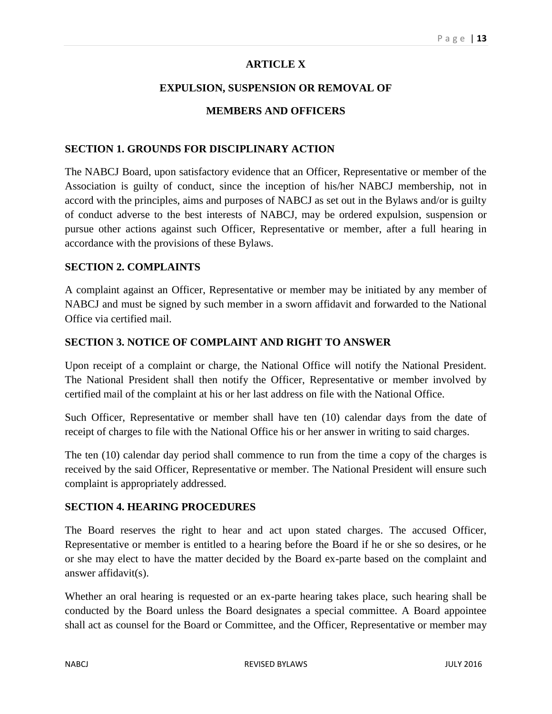# **ARTICLE X**

# **EXPULSION, SUSPENSION OR REMOVAL OF**

# **MEMBERS AND OFFICERS**

#### **SECTION 1. GROUNDS FOR DISCIPLINARY ACTION**

The NABCJ Board, upon satisfactory evidence that an Officer, Representative or member of the Association is guilty of conduct, since the inception of his/her NABCJ membership, not in accord with the principles, aims and purposes of NABCJ as set out in the Bylaws and/or is guilty of conduct adverse to the best interests of NABCJ, may be ordered expulsion, suspension or pursue other actions against such Officer, Representative or member, after a full hearing in accordance with the provisions of these Bylaws.

#### **SECTION 2. COMPLAINTS**

A complaint against an Officer, Representative or member may be initiated by any member of NABCJ and must be signed by such member in a sworn affidavit and forwarded to the National Office via certified mail.

#### **SECTION 3. NOTICE OF COMPLAINT AND RIGHT TO ANSWER**

Upon receipt of a complaint or charge, the National Office will notify the National President. The National President shall then notify the Officer, Representative or member involved by certified mail of the complaint at his or her last address on file with the National Office.

Such Officer, Representative or member shall have ten (10) calendar days from the date of receipt of charges to file with the National Office his or her answer in writing to said charges.

The ten (10) calendar day period shall commence to run from the time a copy of the charges is received by the said Officer, Representative or member. The National President will ensure such complaint is appropriately addressed.

#### **SECTION 4. HEARING PROCEDURES**

The Board reserves the right to hear and act upon stated charges. The accused Officer, Representative or member is entitled to a hearing before the Board if he or she so desires, or he or she may elect to have the matter decided by the Board ex-parte based on the complaint and answer affidavit(s).

Whether an oral hearing is requested or an ex-parte hearing takes place, such hearing shall be conducted by the Board unless the Board designates a special committee. A Board appointee shall act as counsel for the Board or Committee, and the Officer, Representative or member may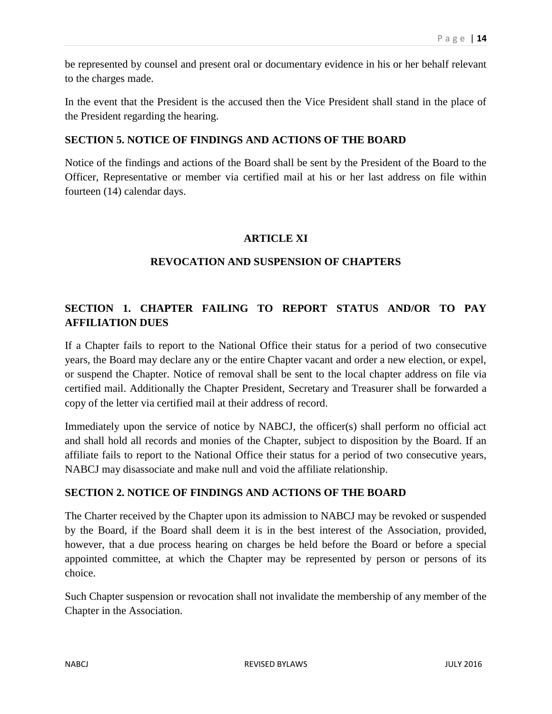be represented by counsel and present oral or documentary evidence in his or her behalf relevant to the charges made.

In the event that the President is the accused then the Vice President shall stand in the place of the President regarding the hearing.

# **SECTION 5. NOTICE OF FINDINGS AND ACTIONS OF THE BOARD**

Notice of the findings and actions of the Board shall be sent by the President of the Board to the Officer, Representative or member via certified mail at his or her last address on file within fourteen (14) calendar days.

# **ARTICLE XI**

# **REVOCATION AND SUSPENSION OF CHAPTERS**

# **SECTION 1. CHAPTER FAILING TO REPORT STATUS AND/OR TO PAY AFFILIATION DUES**

If a Chapter fails to report to the National Office their status for a period of two consecutive years, the Board may declare any or the entire Chapter vacant and order a new election, or expel, or suspend the Chapter. Notice of removal shall be sent to the local chapter address on file via certified mail. Additionally the Chapter President, Secretary and Treasurer shall be forwarded a copy of the letter via certified mail at their address of record.

Immediately upon the service of notice by NABCJ, the officer(s) shall perform no official act and shall hold all records and monies of the Chapter, subject to disposition by the Board. If an affiliate fails to report to the National Office their status for a period of two consecutive years, NABCJ may disassociate and make null and void the affiliate relationship.

# **SECTION 2. NOTICE OF FINDINGS AND ACTIONS OF THE BOARD**

The Charter received by the Chapter upon its admission to NABCJ may be revoked or suspended by the Board, if the Board shall deem it is in the best interest of the Association, provided, however, that a due process hearing on charges be held before the Board or before a special appointed committee, at which the Chapter may be represented by person or persons of its choice.

Such Chapter suspension or revocation shall not invalidate the membership of any member of the Chapter in the Association.